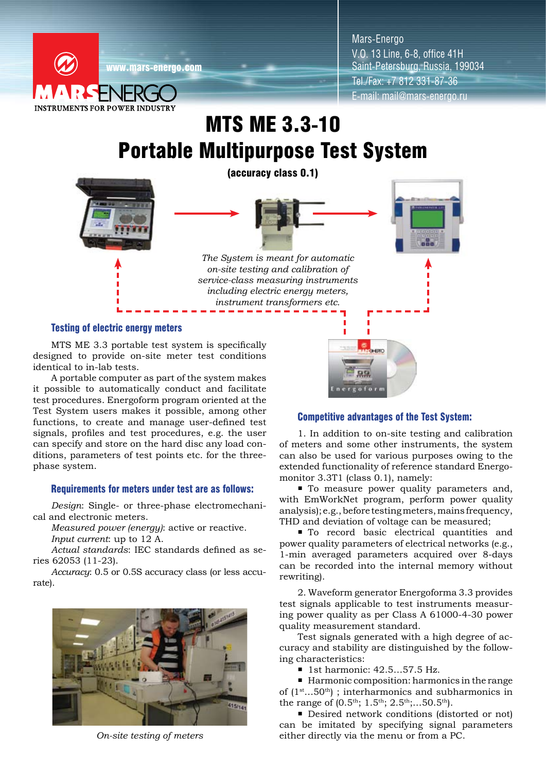

Mars-Energo V.O. 13 Line, 6-8, office 41H Saint-Petersburg, Russia, 199034 Tel./Fax: +7 812 331-87-36 E-mail: mail@mars-energo.ru

# MTS ME 3.3-10 Portable Multipurpose Test System



### Testing of electric energy meters

MTS ME 3.3 portable test system is specifically designed to provide on-site meter test conditions identical to in-lab tests.

A portable computer as part of the system makes it possible to automatically conduct and facilitate test procedures. Energoform program oriented at the Test System users makes it possible, among other functions, to create and manage user-defined test signals, profiles and test procedures, e.g. the user can specify and store on the hard disc any load conditions, parameters of test points etc. for the threephase system.

### Requirements for meters under test are as follows:

*Design*: Single- or three-phase electromechanical and electronic meters.

*Measured power (energy)*: active or reactive. *Input current*: up to 12 A.

*Actual standards*: IEC standards defined as series 62053 (11-23).

*Accuracy*: 0.5 or 0.5S accuracy class (or less accurate).



*On-site testing of meters*

## Competitive advantages of the Test System:

 $99$ ergofor

1. In addition to on-site testing and calibration of meters and some other instruments, the system can also be used for various purposes owing to the extended functionality of reference standard Energomonitor 3.3T1 (class 0.1), namely:

 $\blacksquare$  To measure power quality parameters and, with EmWorkNet program, perform power quality analysis); e.g., before testing meters, mains frequency, THD and deviation of voltage can be measured;

 $\blacksquare$  To record basic electrical quantities and power quality parameters of electrical networks (e.g., 1-min averaged parameters acquired over 8-days can be recorded into the internal memory without rewriting).

2. Waveform generator Energoforma 3.3 provides test signals applicable to test instruments measuring power quality as per Class A 61000-4-30 power quality measurement standard.

Test signals generated with a high degree of accuracy and stability are distinguished by the following characteristics:

■ 1st harmonic: 42.5...57.5 Hz.

■ Harmonic composition: harmonics in the range of  $(1<sup>st</sup>...50<sup>th</sup>)$ ; interharmonics and subharmonics in the range of  $(0.5<sup>th</sup>; 1.5<sup>th</sup>; 2.5<sup>th</sup>; ...50.5<sup>th</sup>)$ .

■ Desired network conditions (distorted or not) can be imitated by specifying signal parameters either directly via the menu or from a PC.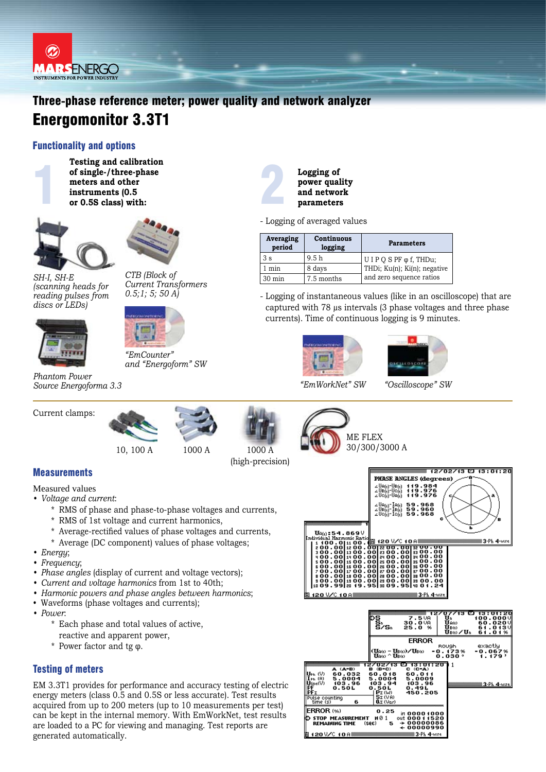

# Three-phase reference meter; power quality and network analyzer Energomonitor 3.3T1

# Functionality and options



of single-/three-phase<br>meters and other<br>instruments (0.5<br>or 0.5S class) with: **Testing and calibration of single-/three-phase meters and other instruments (0.5 or 0.5S class) with:**





*CTB (Block of Current Transformers 0.5;1; 5; 50 A)*

*SH-I, SH-E (scanning heads for reading pulses from discs or LEDs)*



*Phantom Power Source Energoforma 3.3 "EmWorkNet" SW "Oscilloscope" SW*

Current clamps:



10, 100 A 1000 A



(high-precision)



ME FLEX

1000 A 30/300/3000 A





**Measurements** 

Measured values

- *• Voltage and current*:
	- \* RMS of phase and phase-to-phase voltages and currents,
	- \* RMS of 1st voltage and current harmonics,
	- \* Average-rectified values of phase voltages and currents,
	- \* Average (DC component) values of phase voltages;
- *• Energy*;
- *• Frequency*;
- *• Phase angles* (display of current and voltage vectors);
- *• Current and voltage harmonics* from 1st to 40th;
- *• Harmonic powers and phase angles between harmonics*;
- Waveforms (phase voltages and currents);
- *• Power*:
	- \* Each phase and total values of active, reactive and apparent power,
	- \* Power factor and tg φ.

# Testing of meters

EM 3.3T1 provides for performance and accuracy testing of electric energy meters (class 0.5 and 0.5S or less accurate). Test results acquired from up to 200 meters (up to 10 measurements per test) can be kept in the internal memory. With EmWorkNet, test results are loaded to a PC for viewing and managing. Test reports are generated automatically.



- Logging of averaged values

| Averaging<br>period | Continuous<br>logging | <b>Parameters</b>                 |
|---------------------|-----------------------|-----------------------------------|
| 3 s                 | 9.5h                  | $U$ I P Q S PF $\varphi$ f, THDu; |
| min                 | 8 days                | THDi; Ku(n); Ki(n); negative      |
| $30 \text{ min}$    | 7.5 months            | and zero sequence ratios          |

- Logging of instantaneous values (like in an oscilloscope) that are captured with 78 µs intervals (3 phase voltages and three phase currents). Time of continuous logging is 9 minutes.





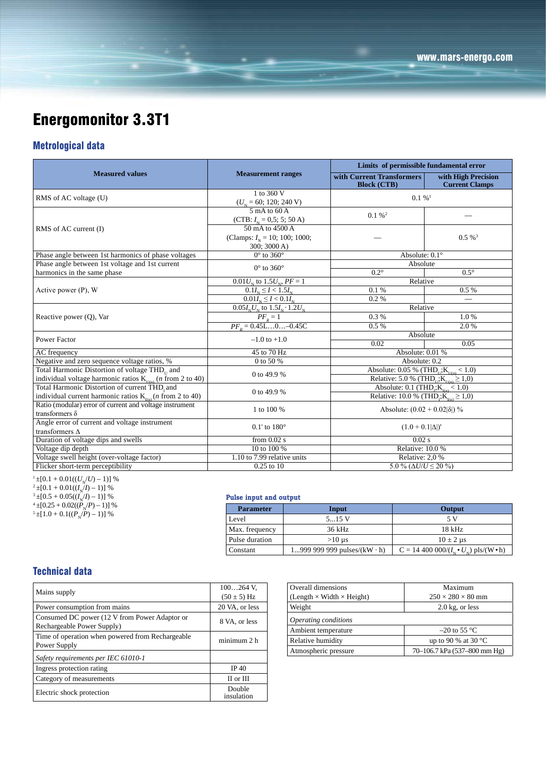# Energomonitor 3.3T1

# Metrological data

|                                                                                       |                                                               | Limits of permissible fundamental error                       |                                              |  |
|---------------------------------------------------------------------------------------|---------------------------------------------------------------|---------------------------------------------------------------|----------------------------------------------|--|
| <b>Measured values</b>                                                                | <b>Measurement ranges</b>                                     | with Current Transformers<br><b>Block (CTB)</b>               | with High Precision<br><b>Current Clamps</b> |  |
| RMS of AC voltage (U)                                                                 | 1 to 360 V                                                    | $0.1\%$ <sup>1</sup>                                          |                                              |  |
|                                                                                       | $(UN = 60; 120; 240 V)$                                       |                                                               |                                              |  |
|                                                                                       | $5 \text{ mA}$ to 60 A                                        | $0.1 \%$ <sup>2</sup>                                         |                                              |  |
|                                                                                       | (CTB: $I_{N} = 0.5$ ; 5; 50 A)                                |                                                               |                                              |  |
| RMS of AC current (I)                                                                 | $50 \text{ mA}$ to $4500 \text{ A}$                           |                                                               |                                              |  |
|                                                                                       | (Clamps: $I_{N} = 10$ ; 100; 1000;                            |                                                               | $0.5\%$ <sup>3</sup>                         |  |
|                                                                                       | 300; 3000 A)                                                  |                                                               |                                              |  |
| Phase angle between 1st harmonics of phase voltages                                   | $0^\circ$ to 360 $^\circ$                                     | Absolute: $0.1^\circ$                                         |                                              |  |
| Phase angle between 1st voltage and 1st current                                       | $0^\circ$ to 360 $^\circ$                                     | Absolute                                                      |                                              |  |
| harmonics in the same phase                                                           |                                                               | $0.2^\circ$                                                   | $0.5^\circ$                                  |  |
|                                                                                       | $0.01 U_{N}$ to $1.5 U_{N}$ , $PF = 1$                        | Relative                                                      |                                              |  |
| Active power $(P)$ , W                                                                | $0.1I_{\rm N} \leq I < 1.5I_{\rm N}$                          | 0.1%                                                          | 0.5%                                         |  |
|                                                                                       | $0.01I_{\rm N} \leq I < 0.1I_{\rm N}$                         | 0.2%                                                          |                                              |  |
|                                                                                       | $0.05I_{\rm N}U_{\rm N}$ to $1.5I_{\rm N} \cdot 1.2U_{\rm N}$ | Relative                                                      |                                              |  |
| Reactive power $(Q)$ , Var                                                            | $\frac{PF_R = 1}{PF_R = 0.45L0-0.45C}$                        | 0.3%                                                          | 1.0%                                         |  |
|                                                                                       |                                                               | 0.5%                                                          | 2.0%                                         |  |
| Power Factor                                                                          | $-1.0$ to $+1.0$                                              | Absolute                                                      |                                              |  |
|                                                                                       |                                                               | 0.02                                                          | 0.05                                         |  |
| AC frequency                                                                          | 45 to 70 Hz                                                   | Absolute: 0.01 %                                              |                                              |  |
| Negative and zero sequence voltage ratios, %                                          | 0 to 50 %                                                     | Absolute: 0.2                                                 |                                              |  |
| Total Harmonic Distortion of voltage THD <sub>11</sub> and                            | 0 to 49.9 %                                                   | Absolute: 0.05 % (THD <sub>11</sub> ; $K_{\text{min}}$ < 1.0) |                                              |  |
| individual voltage harmonic ratios $K_{U(n)}$ ( <i>n</i> from 2 to 40)                |                                                               | Relative: 5.0 % (THD <sub>I</sub> ; $K_{U(n)} \ge 1,0$ )      |                                              |  |
| Total Harmonic Distortion of current THD, and                                         | 0 to 49.9 %                                                   | Absolute: 0.1 (THD <sub>1</sub> ; $K_{\text{L}(n)}$ < 1.0)    |                                              |  |
| individual current harmonic ratios $K_{\text{tan}}(n \text{ from } 2 \text{ to } 40)$ |                                                               | Relative: 10.0 % (THD; $\widetilde{K}_{(n)} \ge 1,0$ )        |                                              |  |
| Ratio (modular) error of current and voltage instrument                               | 1 to 100 %                                                    | Absolute: $(0.02 + 0.02 \delta )\%$                           |                                              |  |
| transformers $\delta$                                                                 |                                                               |                                                               |                                              |  |
| Angle error of current and voltage instrument                                         | $0.1'$ to $180^\circ$                                         | $(1.0 + 0.1 \Delta )'$                                        |                                              |  |
| transformers $\Delta$                                                                 |                                                               |                                                               |                                              |  |
| Duration of voltage dips and swells                                                   | from $0.02$ s                                                 | $0.02$ s                                                      |                                              |  |
| Voltage dip depth                                                                     | 10 to 100 %                                                   | <b>Relative: 10.0 %</b>                                       |                                              |  |
| Voltage swell height (over-voltage factor)                                            | 1.10 to 7.99 relative units                                   | Relative: 2,0 %                                               |                                              |  |
| Flicker short-term perceptibility                                                     | $0.25$ to $10$                                                | 5.0 % ( $\Delta U/U \leq 20$ %)                               |                                              |  |

 $1 \pm [0.1 + 0.01((U_N/U) - 1)]$  %<br> $2 \pm [0.1 + 0.01((I_N/D - 1))]$  %  $\frac{12 \pm [0.1 + 0.01((I_N/I) - 1)] \frac{100}{10}}{1 + 10.5 + 0.05((I_N/I) - 1)] \frac{100}{10}}$  $A^{3} \pm [0.5 + 0.05((I_{N}/I) - 1)]$  %<br>  $A^{4} \pm [0.25 + 0.02((P_{N}/P) - 1)]$  %<br>  $B^{5} \pm [1.0 + 0.1((P_{N}/P) - 1)]$  %

#### **Pulse input and output**

| <b>Parameter</b> | Input                              | Output                                                           |
|------------------|------------------------------------|------------------------------------------------------------------|
| Level            | 515 V                              | 5 V                                                              |
| Max. frequency   | 36 kHz                             | 18 kHz                                                           |
| Pulse duration   | $>10 \text{ }\mu\text{s}$          | $10 \pm 2 \,\mu s$                                               |
| Constant         | 1999 999 999 pulses/(kW $\cdot$ h) | $C = 14\,400\,000/(I_{\rm M} \cdot U_{\rm M})$ pls/(W $\cdot$ h) |

# Technical data

| Mains supply                                                                | $100264$ V.<br>$(50 \pm 5)$ Hz |
|-----------------------------------------------------------------------------|--------------------------------|
| Power consumption from mains                                                | 20 VA, or less                 |
| Consumed DC power (12 V from Power Adaptor or<br>Rechargeable Power Supply) | 8 VA, or less                  |
| Time of operation when powered from Rechargeable<br>Power Supply            | minimum 2 h                    |
| Safety requirements per IEC 61010-1                                         |                                |
| Ingress protection rating                                                   | IP 40                          |
| Category of measurements                                                    | II or III                      |
| Electric shock protection                                                   | Double<br>insulation           |

| Overall dimensions                    | Maximum                       |  |
|---------------------------------------|-------------------------------|--|
| $(Length \times Width \times Height)$ | $250 \times 280 \times 80$ mm |  |
| Weight                                | $2.0$ kg, or less             |  |
| Operating conditions                  |                               |  |
| Ambient temperature                   | $-20$ to 55 °C                |  |
| Relative humidity                     | up to 90 % at 30 $^{\circ}$ C |  |
| Atmospheric pressure                  | 70–106.7 kPa (537–800 mm Hg)  |  |